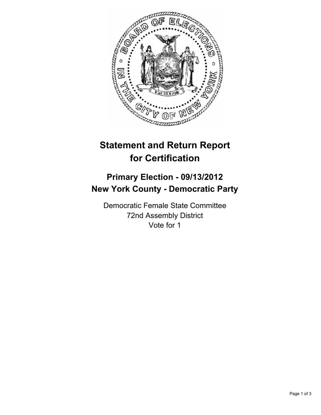

## **Statement and Return Report for Certification**

## **Primary Election - 09/13/2012 New York County - Democratic Party**

Democratic Female State Committee 72nd Assembly District Vote for 1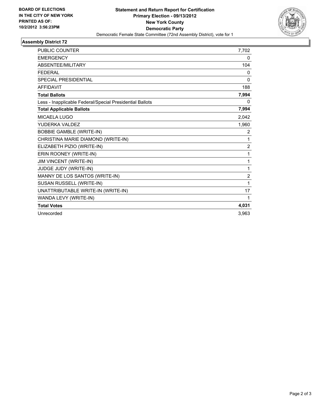

## **Assembly District 72**

| <b>PUBLIC COUNTER</b>                                    | 7,702          |
|----------------------------------------------------------|----------------|
| <b>EMERGENCY</b>                                         | 0              |
| ABSENTEE/MILITARY                                        | 104            |
| <b>FEDERAL</b>                                           | 0              |
| <b>SPECIAL PRESIDENTIAL</b>                              | $\mathbf{0}$   |
| <b>AFFIDAVIT</b>                                         | 188            |
| <b>Total Ballots</b>                                     | 7,994          |
| Less - Inapplicable Federal/Special Presidential Ballots | 0              |
| <b>Total Applicable Ballots</b>                          | 7,994          |
| <b>MICAELA LUGO</b>                                      | 2,042          |
| YUDERKA VALDEZ                                           | 1,960          |
| <b>BOBBIE GAMBLE (WRITE-IN)</b>                          | 2              |
| CHRISTINA MARIE DIAMOND (WRITE-IN)                       | 1              |
| ELIZABETH PIZIO (WRITE-IN)                               | $\overline{2}$ |
| ERIN ROONEY (WRITE-IN)                                   | 1              |
| JIM VINCENT (WRITE-IN)                                   | 1              |
| JUDGE JUDY (WRITE-IN)                                    | 1              |
| MANNY DE LOS SANTOS (WRITE-IN)                           | $\overline{2}$ |
| SUSAN RUSSELL (WRITE-IN)                                 | 1              |
| UNATTRIBUTABLE WRITE-IN (WRITE-IN)                       | 17             |
| WANDA LEVY (WRITE-IN)                                    | 1              |
| <b>Total Votes</b>                                       | 4,031          |
| Unrecorded                                               | 3,963          |